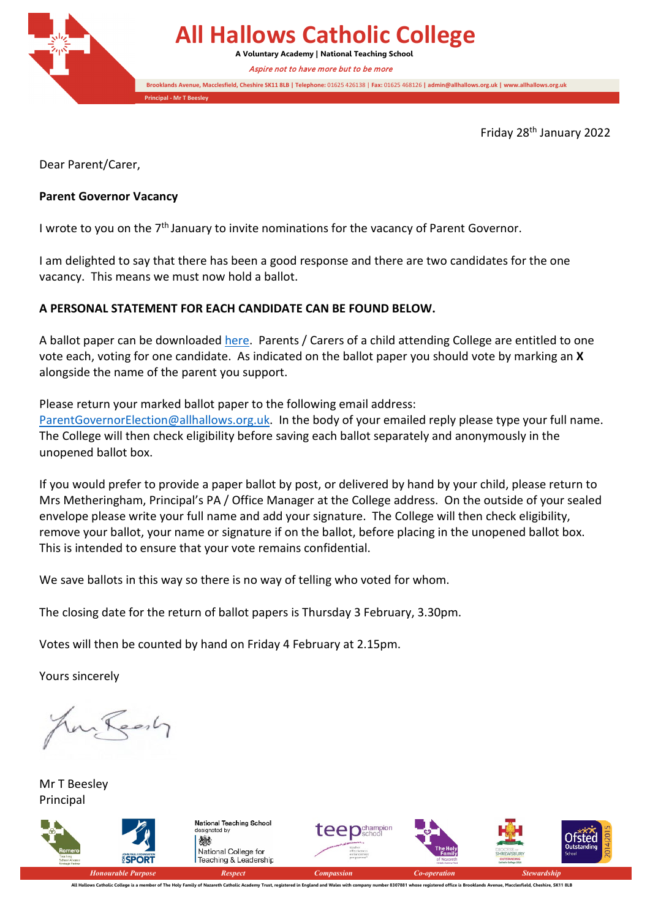**All Hallows Catholic College A Voluntary Academy | National Teaching School Brooklands Avenue, Macclesfield, Cheshire SK11 8LB | Telephone:** 01625 426138 | **Fax:** 01625 468126 **| admin@allhallows.org.uk | www.allhallows.org.uk Principal - Mr T Beesley** Aspire not to have more but to be more

Friday 28th January 2022

Dear Parent/Carer,

### **Parent Governor Vacancy**

I wrote to you on the 7<sup>th</sup> January to invite nominations for the vacancy of Parent Governor.

I am delighted to say that there has been a good response and there are two candidates for the one vacancy. This means we must now hold a ballot.

### **A PERSONAL STATEMENT FOR EACH CANDIDATE CAN BE FOUND BELOW.**

A ballot paper can be downloaded [here.](https://1b27d4b5-fc8d-4ec5-9c23-22179865815f.filesusr.com/ugd/3d0449_f4bc3363867b49a5a7a5e91e23fb9d48.docx?dn=Ballot%20Paper%20Jan%2022.docx) Parents / Carers of a child attending College are entitled to one vote each, voting for one candidate. As indicated on the ballot paper you should vote by marking an **X** alongside the name of the parent you support.

Please return your marked ballot paper to the following email address:

[ParentGovernorElection@allhallows.org.uk.](mailto:ParentGovernorElection@allhallows.org.uk) In the body of your emailed reply please type your full name. The College will then check eligibility before saving each ballot separately and anonymously in the unopened ballot box.

If you would prefer to provide a paper ballot by post, or delivered by hand by your child, please return to Mrs Metheringham, Principal's PA / Office Manager at the College address. On the outside of your sealed envelope please write your full name and add your signature. The College will then check eligibility, remove your ballot, your name or signature if on the ballot, before placing in the unopened ballot box. This is intended to ensure that your vote remains confidential.

We save ballots in this way so there is no way of telling who voted for whom.

The closing date for the return of ballot papers is Thursday 3 February, 3.30pm.

Votes will then be counted by hand on Friday 4 February at 2.15pm.

Yours sincerely

Anglesh

Mr T Beesley Principal



All Hallows Catholic College is a member of The Holy Family of Nazareth Catholic Academy Trust, registered in England and Wales with company number 8307881 whose registered office is Brooklands Avenue, Macclesfield, Cheshi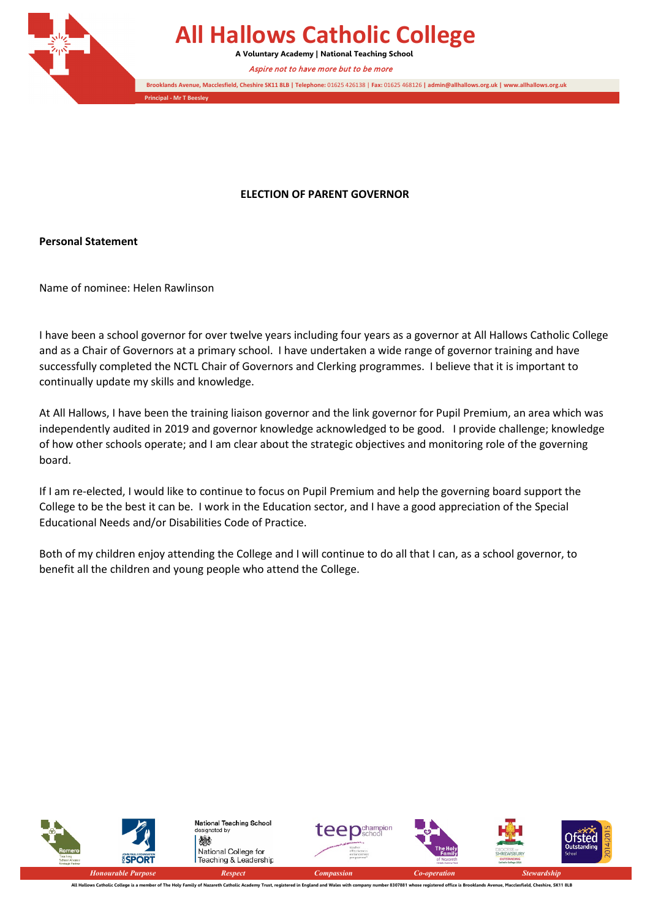

# **All Hallows Catholic College**

**A Voluntary Academy | National Teaching School**

Aspire not to have more but to be more

**Brooklands Avenue, Macclesfield, Cheshire SK11 8LB | Telephone:** 01625 426138 | **Fax:** 01625 468126 **| admin@allhallows.org.uk | www.allhallows.org.uk**

**Principal - Mr T Beesley**

#### **ELECTION OF PARENT GOVERNOR**

**Personal Statement**

Name of nominee: Helen Rawlinson

I have been a school governor for over twelve years including four years as a governor at All Hallows Catholic College and as a Chair of Governors at a primary school. I have undertaken a wide range of governor training and have successfully completed the NCTL Chair of Governors and Clerking programmes. I believe that it is important to continually update my skills and knowledge.

At All Hallows, I have been the training liaison governor and the link governor for Pupil Premium, an area which was independently audited in 2019 and governor knowledge acknowledged to be good. I provide challenge; knowledge of how other schools operate; and I am clear about the strategic objectives and monitoring role of the governing board.

If I am re-elected, I would like to continue to focus on Pupil Premium and help the governing board support the College to be the best it can be. I work in the Education sector, and I have a good appreciation of the Special Educational Needs and/or Disabilities Code of Practice.

Both of my children enjoy attending the College and I will continue to do all that I can, as a school governor, to benefit all the children and young people who attend the College.



All Hallows Catholic College is a member of The Holy Family of Nazareth Catholic Academy Trust, registered in England and Wales with company number 8307881 whose registered office is Brooklands Avenue, Macclesfield, Cheshi